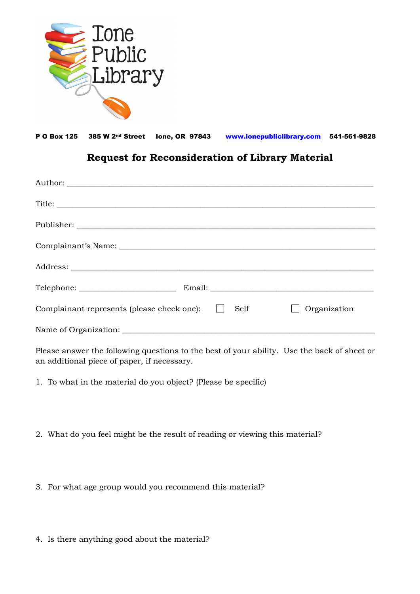

P O Box 125 385 W 2<sup>nd</sup> Street Ione, OR 97843 [www.ionepubliclibrary.com](http://www.ionepubliclibrary.com/) 541-561-9828

## **Request for Reconsideration of Library Material**

| $\begin{minipage}{.4\linewidth} \textbf{Telephone:}\footnotesize \begin{minipage}{.4\linewidth} \textbf{20} & \textbf{20} & \textbf{20} & \textbf{20} \\ \textbf{20} & \textbf{20} & \textbf{20} & \textbf{20} & \textbf{20} \\ \textbf{20} & \textbf{20} & \textbf{20} & \textbf{20} & \textbf{20} & \textbf{20} \\ \textbf{20} & \textbf{20} & \textbf{20} & \textbf{20} & \textbf{20} & \textbf{20} \\ \textbf{20} & \textbf{20} & \$ |  |
|------------------------------------------------------------------------------------------------------------------------------------------------------------------------------------------------------------------------------------------------------------------------------------------------------------------------------------------------------------------------------------------------------------------------------------------|--|
| Complainant represents (please check one):<br>Organization<br>Self<br>$\perp$                                                                                                                                                                                                                                                                                                                                                            |  |
| Name of Organization:                                                                                                                                                                                                                                                                                                                                                                                                                    |  |

Please answer the following questions to the best of your ability. Use the back of sheet or an additional piece of paper, if necessary.

1. To what in the material do you object? (Please be specific)

2. What do you feel might be the result of reading or viewing this material?

3. For what age group would you recommend this material?

4. Is there anything good about the material?